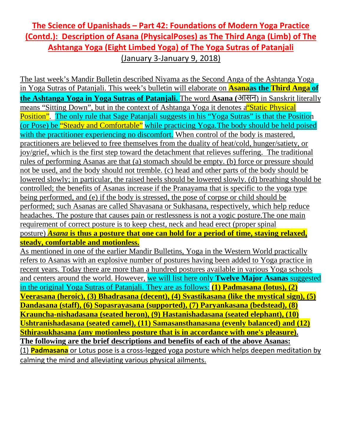## **The Science of Upanishads – Part 42: Foundations of Modern Yoga Practice (Contd.): Description of Asana (PhysicalPoses) as The Third Anga (Limb) of The Ashtanga Yoga (Eight Limbed Yoga) of The Yoga Sutras of Patanjali** (January 3-January 9, 2018)

The last week's Mandir Bulletin described Niyama as the Second Anga of the Ashtanga Yoga in Yoga Sutras of Patanjali. This week's bulletin will elaborate on **Asanaas the Third Anga of the Ashtanga Yoga in Yoga Sutras of Patanjali.** The word **Asana (**आसन) in Sanskrit literally means "Sitting Down", but in the context of Ashtanga Yoga it denotes a "Static Physical" Position". The only rule that Sage Patanjali suggests in his "Yoga Sutras" is that the Position (or Pose) be "Steady and Comfortable" while practicing Yoga. The body should be held poised with the practitioner experiencing no discomfort. When control of the body is mastered, practitioners are believed to free themselves from the duality of heat/cold, hunger/satiety, or joy/grief, which is the first step toward the detachment that relieves suffering. The traditional rules of performing Asanas are that (a) stomach should be empty. (b) force or pressure should not be used, and the body should not tremble. (c) head and other parts of the body should be lowered slowly; in particular, the raised heels should be lowered slowly. (d) breathing should be controlled; the benefits of Asanas increase if the Pranayama that is specific to the yoga type being performed, and (e) if the body is stressed, the pose of corpse or child should be performed; such Asanas are called Shavasana or Sukhasana, respectively, which help reduce headaches. The posture that causes pain or restlessness is not a yogic posture.The one main requirement of correct posture is to keep chest, neck and head erect (proper spinal posture) *Asana* **is thus a posture that one can hold for a period of time, staying relaxed, steady, comfortable and motionless.** As mentioned in one of the earlier Mandir Bulletins, Yoga in the Western World practically

refers to Asanas with an explosive number of postures having been added to Yoga practice in recent years. Today there are more than a hundred postures available in various Yoga schools and centers around the world. However, we will list here only **Twelve Major Asanas** suggested in the original Yoga Sutras of Patanjali. They are as follows: **(1) Padmasana (lotus), (2) Veerasana (heroic), (3) Bhadrasana (decent), (4) Svastikasana (like the mystical sign), (5) Dandasana (staff), (6) Sopasrayasana (supported), (7) Paryankasana (bedstead), (8) Krauncha-nishadasana (seated heron), (9) Hastanishadasana (seated elephant), (10) Ushtranishadasana (seated camel), (11) Samasansthanasana (evenly balanced) and (12) Sthirasukhasana (any motionless posture that is in accordance with one's pleasure). The following are the brief descriptions and benefits of each of the above Asanas:** (1) **Padmasana** or Lotus pose is a cross-legged yoga posture which helps deepen meditation by calming the mind and alleviating various physical ailments.